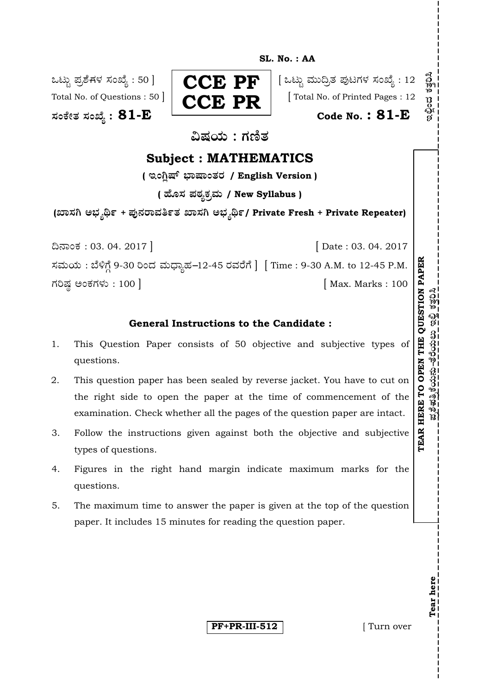**SL. No. : AA** 

**—⁄MOÊfi}⁄ —⁄MSÊ¿ : 81-E Code No. : 81-E**



Total No. of Questions :  $50$   $\left| \begin{array}{ccc} \bullet & \bullet & \bullet \\ \bullet & \bullet & \bullet \end{array} \right|$  [Total No. of Printed Pages : 12

ವಿಷಯ : ಗಣಿತ

# **Subject : MATHEMATICS**

( ಇಂಗಿಷ್ ಭಾಷಾಂತರ / English Version )

**( 'ʇ—⁄ Æ⁄p⁄¿O⁄√»⁄fl / New Syllabus )**

**(S¤—⁄W @∫⁄¥¿£% <sup>+</sup> Æ⁄'¥´⁄¡¤»⁄~%}⁄ S¤—⁄W @∫⁄¥¿£%/ Private Fresh + Private Repeater)** 

¶´¤MO⁄ : 03. 04. 2017 ] [ Date : 03. 04. 2017 ಸಮಯ: ಬೆಳಿಗ್ಗೆ 9-30 ರಿಂದ ಮಧ್ಯಾಹ-12-45 ರವರೆಗೆ | [Time : 9-30 A.M. to 12-45 P.M. ಗರಿಷ್ಣ ಅಂಕಗಳು : 100 ]

## **General Instructions to the Candidate :**

- 1. This Question Paper consists of 50 objective and subjective types of questions.
- 2. This question paper has been sealed by reverse jacket. You have to cut on the right side to open the paper at the time of commencement of the examination. Check whether all the pages of the question paper are intact.
- 3. Follow the instructions given against both the objective and subjective types of questions.
- 4. Figures in the right hand margin indicate maximum marks for the questions.
- 5. The maximum time to answer the paper is given at the top of the question paper. It includes 15 minutes for reading the question paper.

**PF+PR-III-512** [ Turn over

**Tear here** 

Tear here

**TEAR HERE TO OPEN THE QUESTION PAPE**

ಪ್ರಶೆಹತ್ರಿಕೆಯನು–ತೆರೆಯಲು ಇಲ್ಲಿ ಕತ್ತರಿಸಿ

**R**

 $\mathbb{E}_{\mathbf{z}}\mathbb{E}_{\mathbf{z}}\mathbb{E}_{\mathbf{z}}\mathbb{E}_{\mathbf{z}}\mathbb{E}_{\mathbf{z}}\mathbb{E}_{\mathbf{z}}\mathbb{E}_{\mathbf{z}}\mathbb{E}_{\mathbf{z}}\mathbb{E}_{\mathbf{z}}\mathbb{E}_{\mathbf{z}}\mathbb{E}_{\mathbf{z}}\mathbb{E}_{\mathbf{z}}\mathbb{E}_{\mathbf{z}}\mathbb{E}_{\mathbf{z}}\mathbb{E}_{\mathbf{z}}\mathbb{E}_{\mathbf{z}}\mathbb{E}_{\mathbf{z}}\mathbb{E}_{\mathbf{z}}\mathbb$ 

อีก<br>พ

ತಿಲ್ಲಿಣ ಕ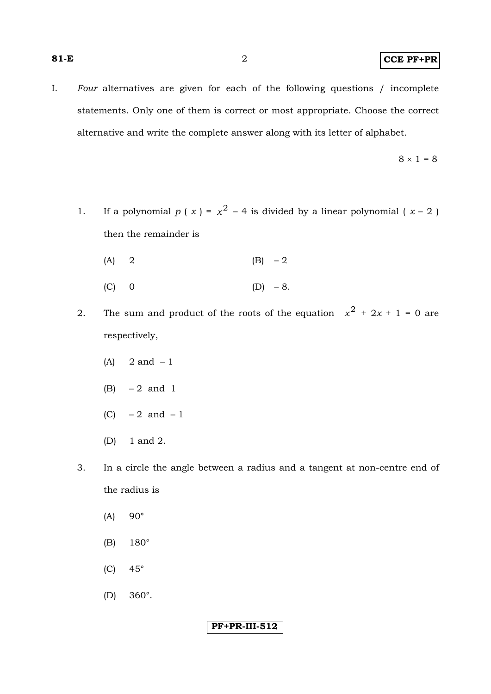I. *Four* alternatives are given for each of the following questions / incomplete statements. Only one of them is correct or most appropriate. Choose the correct alternative and write the complete answer along with its letter of alphabet.

$$
8\times1=8
$$

- 1. If a polynomial  $p(x) = x^2 4$  is divided by a linear polynomial  $(x 2)$ then the remainder is
	- (A) 2 (B)  $-2$
	- (C) 0 (D) 8.
- 2. The sum and product of the roots of the equation  $x^2 + 2x + 1 = 0$  are respectively,
	- $(A)$  2 and  $-1$
	- (B) 2 and 1
	- $(C)$  2 and 1
	- (D) 1 and 2.
- 3. In a circle the angle between a radius and a tangent at non-centre end of the radius is
	- $(A)$  90 $^{\circ}$
	- (B) 180°
	- $(C)$  45°
	- (D) 360°.

### **PF+PR-III-512**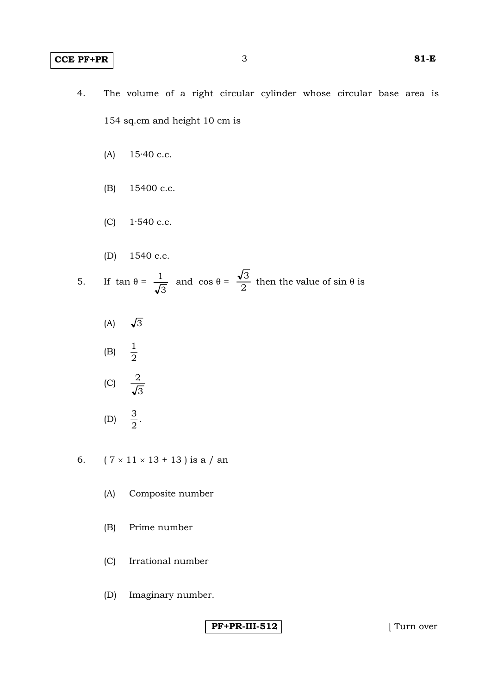### **CCE PF+PR** 3 **81-E**

- 4. The volume of a right circular cylinder whose circular base area is 154 sq.cm and height 10 cm is
	- (A) 15·40 c.c.
	- (B) 15400 c.c.
	- (C) 1·540 c.c.
	- (D) 1540 c.c.

5. If 
$$
\tan \theta = \frac{1}{\sqrt{3}}
$$
 and  $\cos \theta = \frac{\sqrt{3}}{2}$  then the value of  $\sin \theta$  is

(A)  $\sqrt{3}$  $(B)$  $\frac{1}{2}$ 

$$
\text{(C)} \quad \frac{2}{\sqrt{3}}
$$

$$
(D) \quad \frac{3}{2}.
$$

6.  $(7 \times 11 \times 13 + 13)$  is a / an

- (A) Composite number
- (B) Prime number
- (C) Irrational number
- (D) Imaginary number.

PF+PR-III-512 **I** Turn over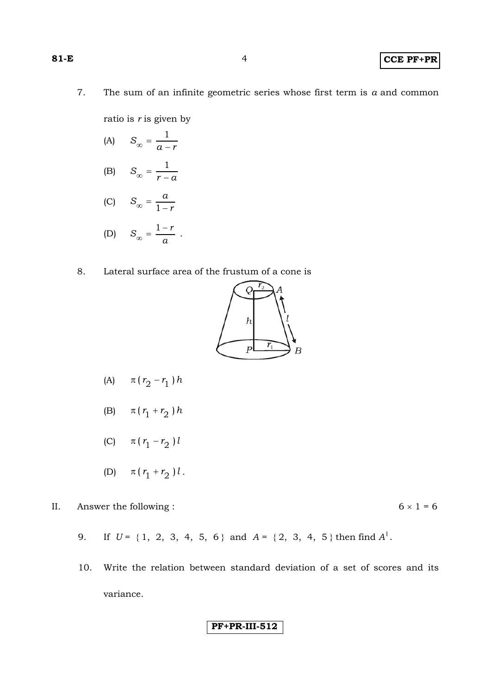7. The sum of an infinite geometric series whose first term is *a* and common

ratio is *r* is given by

- (A)  $S_{\infty} = \frac{1}{a-r}$
- (B)  $S_{\infty} = \frac{1}{r-a}$
- (C)  $S_{\infty} = \frac{a}{1-r}$

$$
(D) \tS_{\infty} = \frac{1-r}{a} .
$$

8. Lateral surface area of the frustum of a cone is



- (A)  $\pi (r_2 r_1) h$
- (B)  $\pi (r_1 + r_2) h$
- (C)  $\pi (r_1 r_2) l$
- (D)  $\pi (r_1 + r_2) l$ .
- II. Answer the following :  $6 \times 1 = 6$ 
	- 9. If  $U = \{1, 2, 3, 4, 5, 6\}$  and  $A = \{2, 3, 4, 5\}$  then find  $A^{\prime}$ .
	- 10. Write the relation between standard deviation of a set of scores and its variance.

$$
|PF+PR-III-512|
$$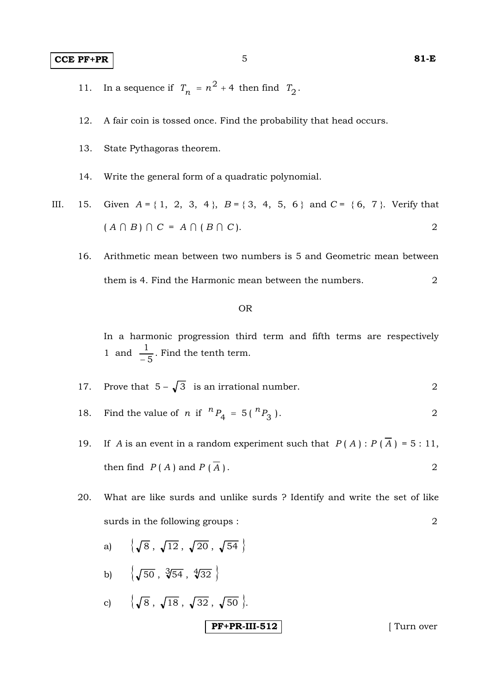### **CCE PF+PR** 5 81-E

- 
- 11. In a sequence if  $T_n = n^2 + 4$  then find  $T_2$ .
- 12. A fair coin is tossed once. Find the probability that head occurs.
- 13. State Pythagoras theorem.
- 14. Write the general form of a quadratic polynomial.
- III. 15. Given  $A = \{ 1, 2, 3, 4 \}$ ,  $B = \{ 3, 4, 5, 6 \}$  and  $C = \{ 6, 7 \}$ . Verify that  $(A \cap B) \cap C = A \cap (B \cap C).$  2
	- 16. Arithmetic mean between two numbers is 5 and Geometric mean between them is 4. Find the Harmonic mean between the numbers. 2

#### OR

 In a harmonic progression third term and fifth terms are respectively 1 and 5  $\frac{1}{-5}$ . Find the tenth term.

17. Prove that 
$$
5 - \sqrt{3}
$$
 is an irrational number.

- 18. Find the value of *n* if  ${}^{n}P_{4} = 5({}^{n}P_{3})$ . 2
- 19. If *A* is an event in a random experiment such that  $P(A): P(\overline{A}) = 5:11$ , then find  $P(A)$  and  $P(\overline{A})$ . 2
- 20. What are like surds and unlike surds ? Identify and write the set of like surds in the following groups : 2
	- **PF+PR-III-512** [ Turn over a)  $\{\sqrt{8}, \sqrt{12}, \sqrt{20}, \sqrt{54}\}$ b)  $\{\sqrt{50}, \sqrt[3]{54}, \sqrt[4]{32}\}$ c)  $\{\sqrt{8}, \sqrt{18}, \sqrt{32}, \sqrt{50}\}.$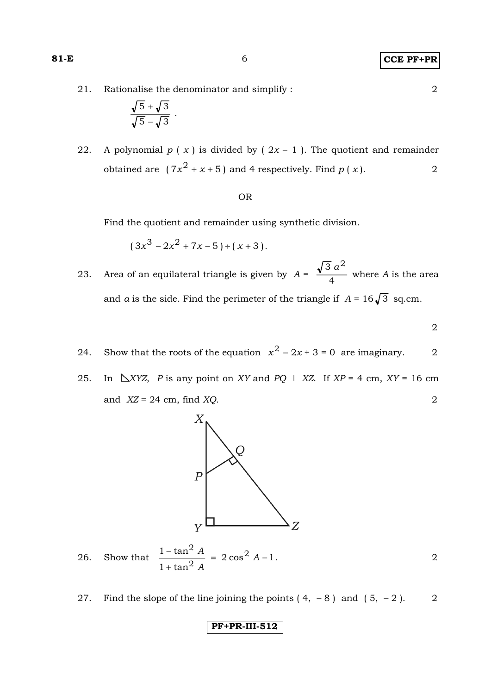21. Rationalise the denominator and simplify : 2

$$
\frac{\sqrt{5}+\sqrt{3}}{\sqrt{5}-\sqrt{3}}.
$$

22. A polynomial  $p(x)$  is divided by  $(2x - 1)$ . The quotient and remainder obtained are  $(7x^2 + x + 5)$  and 4 respectively. Find  $p(x)$ . 2

#### OR

Find the quotient and remainder using synthetic division.

$$
(3x^3 - 2x^2 + 7x - 5) \div (x + 3).
$$

- 23. Area of an equilateral triangle is given by  $A = \frac{\sqrt{2}}{4}$  $\overline{3} a^2$  where *A* is the area and *a* is the side. Find the perimeter of the triangle if  $A = 16\sqrt{3}$  sq.cm.
- 2
	- 24. Show that the roots of the equation  $x^2 2x + 3 = 0$  are imaginary. 2
	- 25. In  $\Delta XYZ$ , *P* is any point on *XY* and *PQ*  $\perp$  *XZ*. If *XP* = 4 cm, *XY* = 16 cm and *XZ* = 24 cm, find *XQ*. 2



- 26. Show that  $\frac{26.6}{9}$  = 2 cos<sup>2</sup> A -1  $1 + \tan$  $1-\tan^2 A$   $\qquad$  2000<sup>2</sup> 2 2  $= 2 \cos^2 A -$ +  $\frac{-\tan^2 A}{2}$  = 2 cos<sup>2</sup> A *A A* .  $\overline{\phantom{a}}$  2
	- 27. Find the slope of the line joining the points  $(4, -8)$  and  $(5, -2)$ . 2

**PF+PR-III-512**

$$
81-1
$$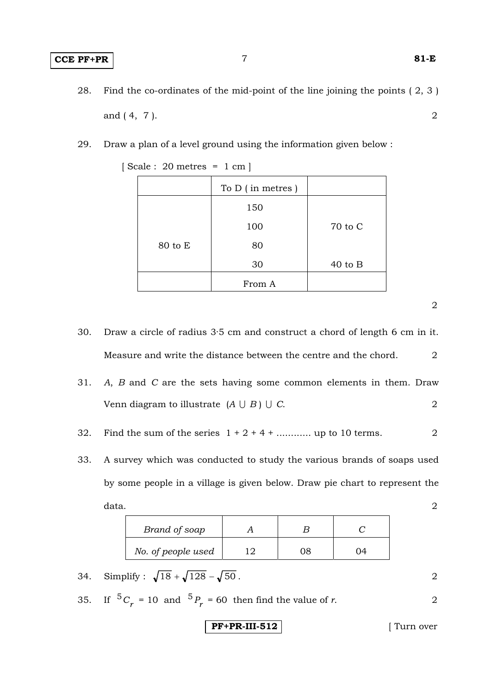- 28. Find the co-ordinates of the mid-point of the line joining the points ( 2, 3 ) and (4, 7). 2
- 29. Draw a plan of a level ground using the information given below :

|         | To D (in metres) |           |
|---------|------------------|-----------|
|         | 150              |           |
|         | 100              | 70 to C   |
| 80 to E | 80               |           |
|         | 30               | $40$ to B |
|         | From A           |           |

[ Scale : 20 metres = 1 cm ]

 30. Draw a circle of radius 3·5 cm and construct a chord of length 6 cm in it. Measure and write the distance between the centre and the chord. 2

|  | 31. A, B and C are the sets having some common elements in them. Draw |  |
|--|-----------------------------------------------------------------------|--|
|  | Venn diagram to illustrate $(A \cup B) \cup C$ .                      |  |

32. Find the sum of the series  $1 + 2 + 4 + \dots$  up to 10 terms.

 33. A survey which was conducted to study the various brands of soaps used by some people in a village is given below. Draw pie chart to represent the  $data.$  2

| Brand of soap      |     |  |
|--------------------|-----|--|
| No. of people used | ר ו |  |

- 34. Simplify :  $\sqrt{18} + \sqrt{128} \sqrt{50}$ . 2
- 35. If  ${}^{5}C_{r} = 10$  and  ${}^{5}P_{r} = 60$  then find the value of *r*. 2

$$
PF+PR-III-512
$$
 [Turn over

2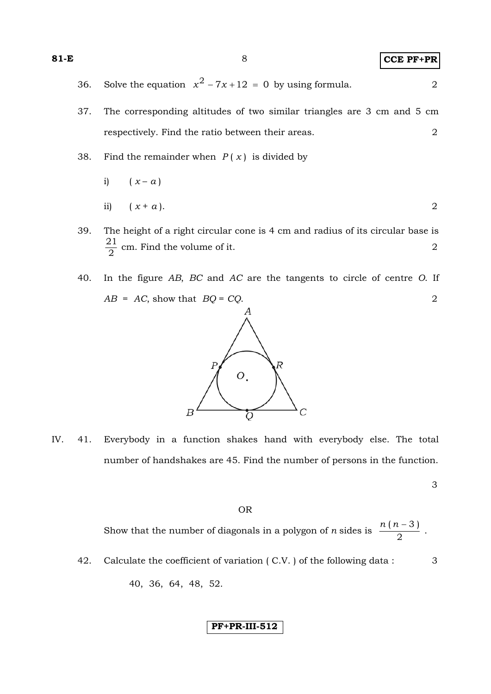| 81-E |     |                                                                        | $CCE$ PF+PR |
|------|-----|------------------------------------------------------------------------|-------------|
|      | 36. | Solve the equation $x^2 - 7x + 12 = 0$ by using formula.               |             |
|      | 37. | The corresponding altitudes of two similar triangles are 3 cm and 5 cm |             |
|      |     | respectively. Find the ratio between their areas.                      |             |
|      | 2 Q | Find the remoinder when $D(x)$ is divided by                           |             |

38. Find the remainder when *P* ( *x* ) is divided by

i) 
$$
(x-a)
$$
  
ii)  $(x+a)$ .

- 39. The height of a right circular cone is 4 cm and radius of its circular base is  $\frac{21}{2}$  cm. Find the volume of it. 2
- 40. In the figure *AB*, *BC* and *AC* are the tangents to circle of centre *O*. If *AB* = *AC*, show that *BQ* = *CQ*. 2



IV. 41. Everybody in a function shakes hand with everybody else. The total number of handshakes are 45. Find the number of persons in the function.

3

#### OR

Show that the number of diagonals in a polygon of *n* sides is  $\frac{n\sqrt{n}}{2}$  $\frac{n(n-3)}{2}$ .

42. Calculate the coefficient of variation (C.V.) of the following data : 3 40, 36, 64, 48, 52.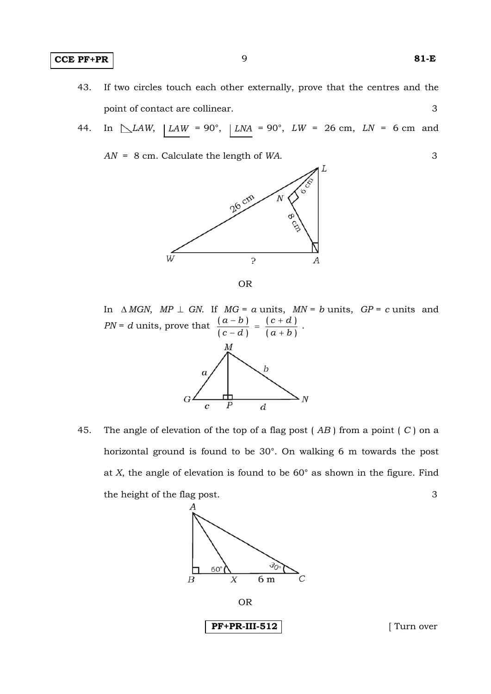### **CCE PF+PR** 9 **81-E**

- 43. If two circles touch each other externally, prove that the centres and the point of contact are collinear. 3
- 44. In  $\Delta LM$ ,  $\vert LM = 90^{\circ}$ ,  $\vert LM = 90^{\circ}$ ,  $LW = 26$  cm,  $LN = 6$  cm and
	- *AN* = 8 cm. Calculate the length of *WA*. 3





In  $\triangle MGN$ ,  $MP \perp GN$ . If  $MG = a$  units,  $MN = b$  units,  $GP = c$  units and  $PN = d$  units, prove that  $\frac{(a-b)}{(c-d)} = \frac{(c+d)}{(a+b)}$  $(c-d)$  $(a - b)$  $a + b$ *c d c d a b*  $\frac{-b)}{-d} = \frac{(c+d)}{(a+b)}$ .

 45. The angle of elevation of the top of a flag post ( *AB* ) from a point ( *C* ) on a horizontal ground is found to be 30°. On walking 6 m towards the post at *X*, the angle of elevation is found to be 60° as shown in the figure. Find the height of the flag post. 3

d





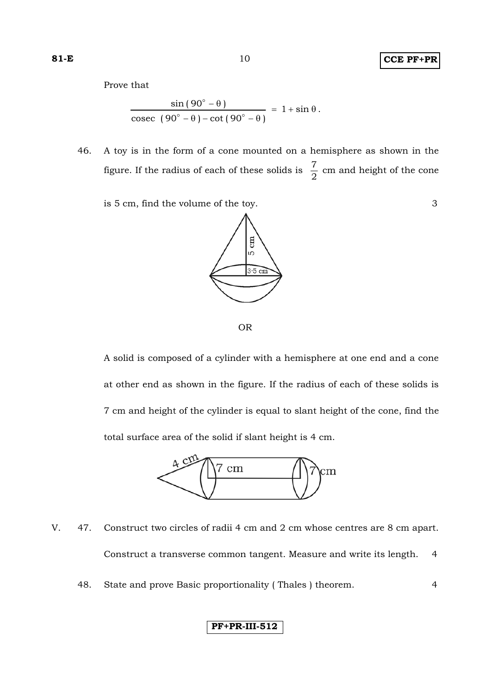### **81-E** 10 **CCE PF+PR**

Prove that

$$
\frac{\sin(90^\circ - \theta)}{\csc(90^\circ - \theta) - \cot(90^\circ - \theta)} = 1 + \sin \theta.
$$

 46. A toy is in the form of a cone mounted on a hemisphere as shown in the figure. If the radius of each of these solids is  $\frac{7}{2}$  cm and height of the cone

is 5 cm, find the volume of the toy. 3





 A solid is composed of a cylinder with a hemisphere at one end and a cone at other end as shown in the figure. If the radius of each of these solids is 7 cm and height of the cylinder is equal to slant height of the cone, find the total surface area of the solid if slant height is 4 cm.



- V. 47. Construct two circles of radii 4 cm and 2 cm whose centres are 8 cm apart. Construct a transverse common tangent. Measure and write its length. 4
	- 48. State and prove Basic proportionality ( Thales ) theorem. 4

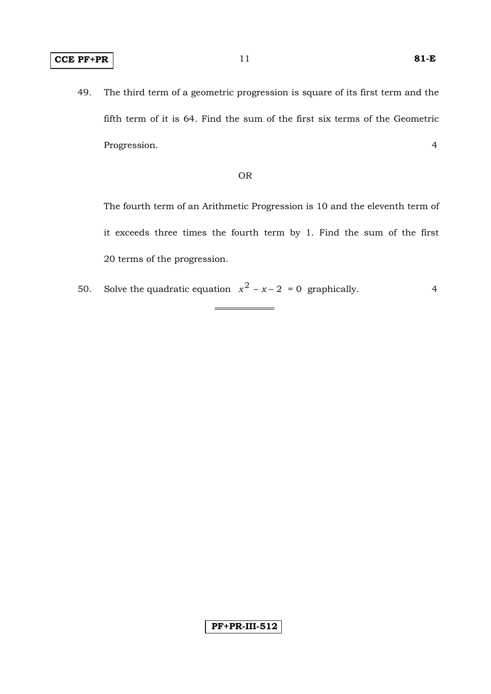49. The third term of a geometric progression is square of its first term and the fifth term of it is 64. Find the sum of the first six terms of the Geometric Progression. 4

#### OR

 The fourth term of an Arithmetic Progression is 10 and the eleventh term of it exceeds three times the fourth term by 1. Find the sum of the first 20 terms of the progression.

50. Solve the quadratic equation  $x^2 - x - 2 = 0$  graphically. 4